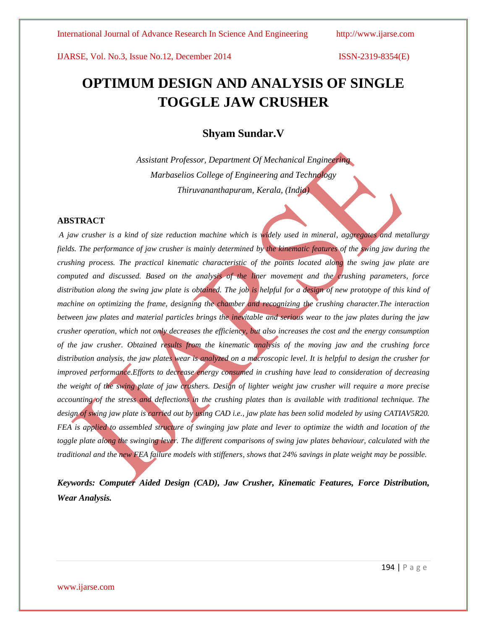# **OPTIMUM DESIGN AND ANALYSIS OF SINGLE TOGGLE JAW CRUSHER**

## **Shyam Sundar.V**

*Assistant Professor, Department Of Mechanical Engineering Marbaselios College of Engineering and Technology Thiruvananthapuram, Kerala, (India)*

## **ABSTRACT**

*A jaw crusher is a kind of size reduction machine which is widely used in mineral, aggregates and metallurgy fields. The performance of jaw crusher is mainly determined by the kinematic features of the swing jaw during the crushing process. The practical kinematic characteristic of the points located along the swing jaw plate are computed and discussed. Based on the analysis of the liner movement and the crushing parameters, force distribution along the swing jaw plate is obtained. The job is helpful for a design of new prototype of this kind of machine on optimizing the frame, designing the chamber and recognizing the crushing character.The interaction between jaw plates and material particles brings the inevitable and serious wear to the jaw plates during the jaw crusher operation, which not only decreases the efficiency, but also increases the cost and the energy consumption of the jaw crusher. Obtained results from the kinematic analysis of the moving jaw and the crushing force distribution analysis, the jaw plates wear is analyzed on a macroscopic level. It is helpful to design the crusher for improved performance.Efforts to decrease energy consumed in crushing have lead to consideration of decreasing the weight of the swing plate of jaw crushers. Design of lighter weight jaw crusher will require a more precise accounting of the stress and deflections in the crushing plates than is available with traditional technique. The design of swing jaw plate is carried out by using CAD i.e., jaw plate has been solid modeled by using CATIAV5R20. FEA is applied to assembled structure of swinging jaw plate and lever to optimize the width and location of the toggle plate along the swinging lever. The different comparisons of swing jaw plates behaviour, calculated with the traditional and the new FEA failure models with stiffeners, shows that 24% savings in plate weight may be possible.*

*Keywords: Computer Aided Design (CAD), Jaw Crusher, Kinematic Features, Force Distribution, Wear Analysis.*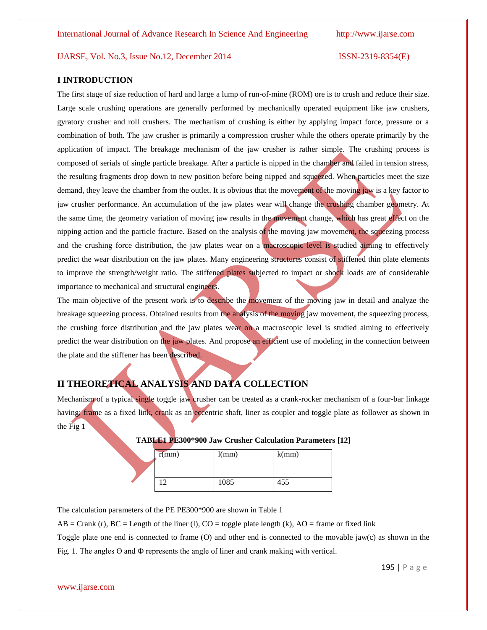## **I INTRODUCTION**

The first stage of size reduction of hard and large a lump of run-of-mine (ROM) ore is to crush and reduce their size. Large scale crushing operations are generally performed by mechanically operated equipment like jaw crushers, gyratory crusher and roll crushers. The mechanism of crushing is either by applying impact force, pressure or a combination of both. The jaw crusher is primarily a compression crusher while the others operate primarily by the application of impact. The breakage mechanism of the jaw crusher is rather simple. The crushing process is composed of serials of single particle breakage. After a particle is nipped in the chamber and failed in tension stress, the resulting fragments drop down to new position before being nipped and squeezed. When particles meet the size demand, they leave the chamber from the outlet. It is obvious that the movement of the moving jaw is a key factor to jaw crusher performance. An accumulation of the jaw plates wear will change the crushing chamber geometry. At the same time, the geometry variation of moving jaw results in the movement change, which has great effect on the nipping action and the particle fracture. Based on the analysis of the moving jaw movement, the squeezing process and the crushing force distribution, the jaw plates wear on a macroscopic level is studied aiming to effectively predict the wear distribution on the jaw plates. Many engineering structures consist of stiffened thin plate elements to improve the strength/weight ratio. The stiffened plates subjected to impact or shock loads are of considerable importance to mechanical and structural engineers.

The main objective of the present work is to describe the movement of the moving jaw in detail and analyze the breakage squeezing process. Obtained results from the analysis of the moving jaw movement, the squeezing process, the crushing force distribution and the jaw plates wear on a macroscopic level is studied aiming to effectively predict the wear distribution on the jaw plates. And propose an efficient use of modeling in the connection between the plate and the stiffener has been described.

## **II THEORETICAL ANALYSIS AND DATA COLLECTION**

Mechanism of a typical single toggle jaw crusher can be treated as a crank-rocker mechanism of a four-bar linkage having; frame as a fixed link, crank as an eccentric shaft, liner as coupler and toggle plate as follower as shown in the Fig 1

| r(mm) | l(mm) | k(mm) |
|-------|-------|-------|
|       | 1085  | 455   |

| TABLE1 PE300*900 Jaw Crusher Calculation Parameters [12] |  |  |  |  |  |  |
|----------------------------------------------------------|--|--|--|--|--|--|
|----------------------------------------------------------|--|--|--|--|--|--|

The calculation parameters of the PE PE300\*900 are shown in Table 1

 $AB = Crank$  (r),  $BC = Length$  of the liner (l),  $CO = toggle$  plate length (k),  $AO = frame$  or fixed link

Toggle plate one end is connected to frame (O) and other end is connected to the movable jaw(c) as shown in the Fig. 1. The angles  $\Theta$  and  $\Phi$  represents the angle of liner and crank making with vertical.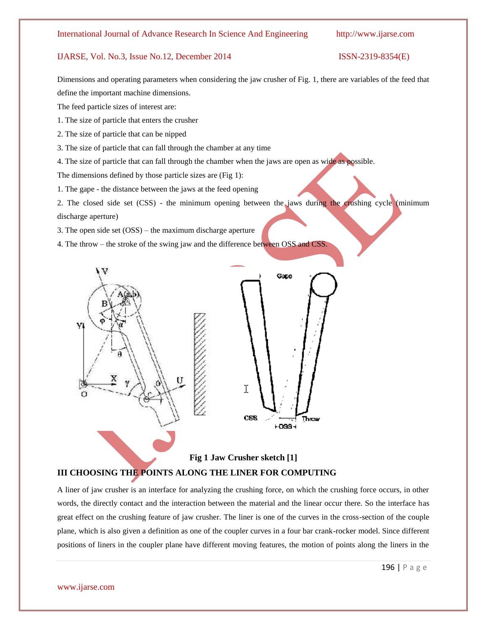Dimensions and operating parameters when considering the jaw crusher of Fig. 1, there are variables of the feed that define the important machine dimensions.

The feed particle sizes of interest are:

1. The size of particle that enters the crusher

2. The size of particle that can be nipped

3. The size of particle that can fall through the chamber at any time

4. The size of particle that can fall through the chamber when the jaws are open as wide as possible.

The dimensions defined by those particle sizes are (Fig 1):

1. The gape - the distance between the jaws at the feed opening

2. The closed side set (CSS) - the minimum opening between the jaws during the crushing cycle (minimum discharge aperture)

3. The open side set (OSS) – the maximum discharge aperture

4. The throw – the stroke of the swing jaw and the difference between OSS and CSS.



**Fig 1 Jaw Crusher sketch [1] III CHOOSING THE POINTS ALONG THE LINER FOR COMPUTING**

A liner of jaw crusher is an interface for analyzing the crushing force, on which the crushing force occurs, in other words, the directly contact and the interaction between the material and the linear occur there. So the interface has great effect on the crushing feature of jaw crusher. The liner is one of the curves in the cross-section of the couple plane, which is also given a definition as one of the coupler curves in a four bar crank-rocker model. Since different positions of liners in the coupler plane have different moving features, the motion of points along the liners in the

### www.ijarse.com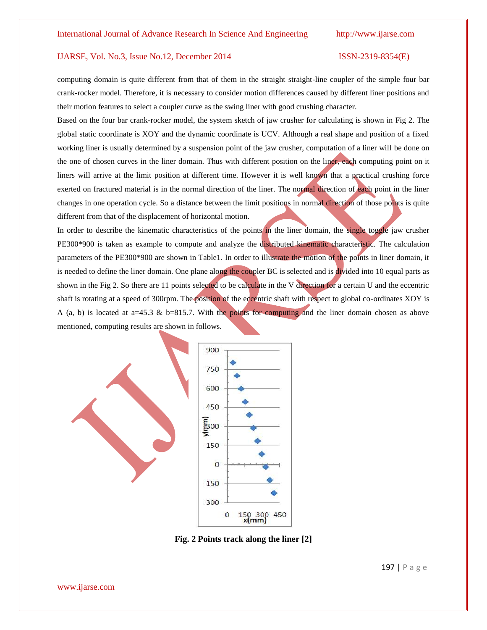computing domain is quite different from that of them in the straight straight-line coupler of the simple four bar crank-rocker model. Therefore, it is necessary to consider motion differences caused by different liner positions and their motion features to select a coupler curve as the swing liner with good crushing character.

Based on the four bar crank-rocker model, the system sketch of jaw crusher for calculating is shown in Fig 2. The global static coordinate is XOY and the dynamic coordinate is UCV. Although a real shape and position of a fixed working liner is usually determined by a suspension point of the jaw crusher, computation of a liner will be done on the one of chosen curves in the liner domain. Thus with different position on the liner, each computing point on it liners will arrive at the limit position at different time. However it is well known that a practical crushing force exerted on fractured material is in the normal direction of the liner. The normal direction of each point in the liner changes in one operation cycle. So a distance between the limit positions in normal direction of those points is quite different from that of the displacement of horizontal motion.

In order to describe the kinematic characteristics of the points in the liner domain, the single toggle jaw crusher PE300\*900 is taken as example to compute and analyze the distributed kinematic characteristic. The calculation parameters of the PE300\*900 are shown in Table1. In order to illustrate the motion of the points in liner domain, it is needed to define the liner domain. One plane along the coupler BC is selected and is divided into 10 equal parts as shown in the Fig 2. So there are 11 points selected to be calculate in the V direction for a certain U and the eccentric shaft is rotating at a speed of 300rpm. The position of the eccentric shaft with respect to global co-ordinates XOY is A (a, b) is located at a=45.3 & b=815.7. With the points for computing and the liner domain chosen as above mentioned, computing results are shown in follows.



**Fig. 2 Points track along the liner [2]**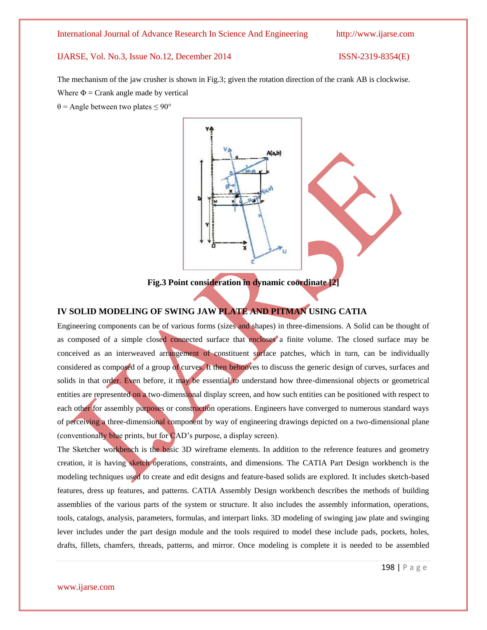The mechanism of the jaw crusher is shown in Fig.3; given the rotation direction of the crank AB is clockwise. Where  $\Phi$  = Crank angle made by vertical

 $\theta$  = Angle between two plates  $\leq 90^{\circ}$ 



**Fig.3 Point consideration in dynamic coordinate [2]**

## **IV SOLID MODELING OF SWING JAW PLATE AND PITMAN USING CATIA**

Engineering components can be of various forms (sizes and shapes) in three-dimensions. A Solid can be thought of as composed of a simple closed connected surface that encloses a finite volume. The closed surface may be conceived as an interweaved arrangement of constituent surface patches, which in turn, can be individually considered as composed of a group of curves. It then behooves to discuss the generic design of curves, surfaces and solids in that order. Even before, it may be essential to understand how three-dimensional objects or geometrical entities are represented on a two-dimensional display screen, and how such entities can be positioned with respect to each other for assembly purposes or construction operations. Engineers have converged to numerous standard ways of perceiving a three-dimensional component by way of engineering drawings depicted on a two-dimensional plane (conventionally blue prints, but for CAD's purpose, a display screen).

The Sketcher workbench is the basic 3D wireframe elements. In addition to the reference features and geometry creation, it is having sketch operations, constraints, and dimensions. The CATIA Part Design workbench is the modeling techniques used to create and edit designs and feature-based solids are explored. It includes sketch-based features, dress up features, and patterns. CATIA Assembly Design workbench describes the methods of building assemblies of the various parts of the system or structure. It also includes the assembly information, operations, tools, catalogs, analysis, parameters, formulas, and interpart links. 3D modeling of swinging jaw plate and swinging lever includes under the part design module and the tools required to model these include pads, pockets, holes, drafts, fillets, chamfers, threads, patterns, and mirror. Once modeling is complete it is needed to be assembled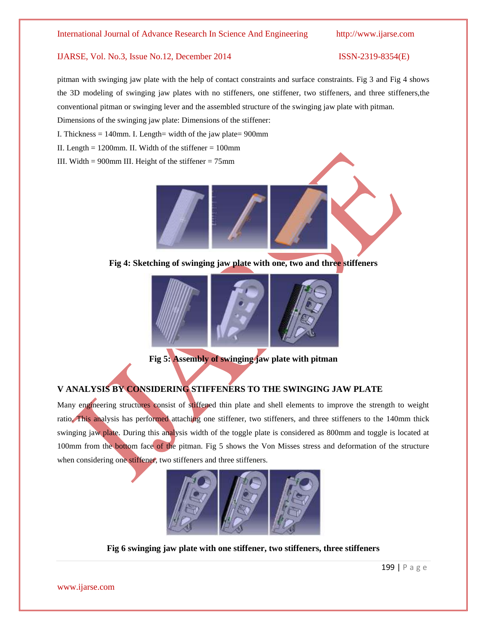pitman with swinging jaw plate with the help of contact constraints and surface constraints. Fig 3 and Fig 4 shows the 3D modeling of swinging jaw plates with no stiffeners, one stiffener, two stiffeners, and three stiffeners,the conventional pitman or swinging lever and the assembled structure of the swinging jaw plate with pitman.

Dimensions of the swinging jaw plate: Dimensions of the stiffener:

I. Thickness  $= 140$ mm. I. Length= width of the jaw plate= 900mm

II. Length  $= 1200$ mm. II. Width of the stiffener  $= 100$ mm

III. Width =  $900$ mm III. Height of the stiffener =  $75$ mm



**Fig 4: Sketching of swinging jaw plate with one, two and three stiffeners**



**Fig 5: Assembly of swinging jaw plate with pitman**

## **V ANALYSIS BY CONSIDERING STIFFENERS TO THE SWINGING JAW PLATE**

Many engineering structures consist of stiffened thin plate and shell elements to improve the strength to weight ratio. This analysis has performed attaching one stiffener, two stiffeners, and three stiffeners to the 140mm thick swinging jaw plate. During this analysis width of the toggle plate is considered as 800mm and toggle is located at 100mm from the bottom face of the pitman. Fig 5 shows the Von Misses stress and deformation of the structure when considering one stiffener, two stiffeners and three stiffeners.



**Fig 6 swinging jaw plate with one stiffener, two stiffeners, three stiffeners**

www.ijarse.com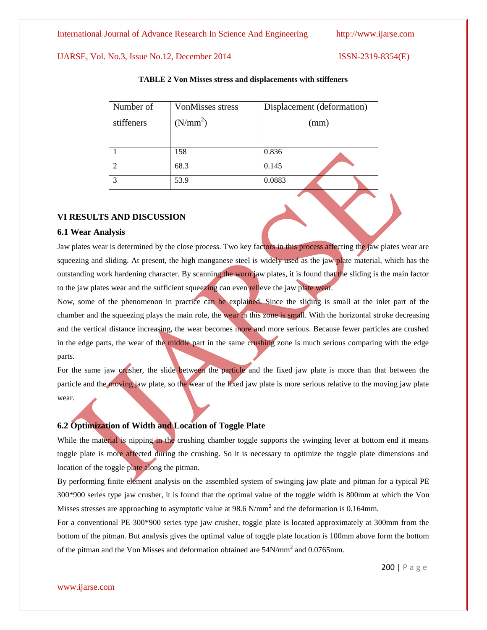| Number of    | <b>VonMisses stress</b> | Displacement (deformation) |  |
|--------------|-------------------------|----------------------------|--|
| stiffeners   | (N/mm <sup>2</sup> )    | (mm)                       |  |
|              |                         |                            |  |
|              | 158                     | 0.836                      |  |
| ⌒            | 68.3                    | 0.145                      |  |
| $\mathbf{R}$ | 53.9                    | 0.0883                     |  |

## **TABLE 2 Von Misses stress and displacements with stiffeners**

## **VI RESULTS AND DISCUSSION**

### **6.1 Wear Analysis**

Jaw plates wear is determined by the close process. Two key factors in this process affecting the jaw plates wear are squeezing and sliding. At present, the high manganese steel is widely used as the jaw plate material, which has the outstanding work hardening character. By scanning the worn jaw plates, it is found that the sliding is the main factor to the jaw plates wear and the sufficient squeezing can even relieve the jaw plate wear.

Now, some of the phenomenon in practice can be explained. Since the sliding is small at the inlet part of the chamber and the squeezing plays the main role, the wear in this zone is small. With the horizontal stroke decreasing and the vertical distance increasing, the wear becomes more and more serious. Because fewer particles are crushed in the edge parts, the wear of the middle part in the same crushing zone is much serious comparing with the edge parts.

For the same jaw crusher, the slide between the particle and the fixed jaw plate is more than that between the particle and the moving jaw plate, so the wear of the fixed jaw plate is more serious relative to the moving jaw plate wear.

## **6.2 Optimization of Width and Location of Toggle Plate**

While the material is nipping in the crushing chamber toggle supports the swinging lever at bottom end it means toggle plate is more affected during the crushing. So it is necessary to optimize the toggle plate dimensions and location of the toggle plate along the pitman.

By performing finite element analysis on the assembled system of swinging jaw plate and pitman for a typical PE 300\*900 series type jaw crusher, it is found that the optimal value of the toggle width is 800mm at which the Von Misses stresses are approaching to asymptotic value at 98.6 N/mm<sup>2</sup> and the deformation is 0.164mm.

For a conventional PE 300\*900 series type jaw crusher, toggle plate is located approximately at 300mm from the bottom of the pitman. But analysis gives the optimal value of toggle plate location is 100mm above form the bottom of the pitman and the Von Misses and deformation obtained are  $54N/mm^2$  and  $0.0765 mm$ .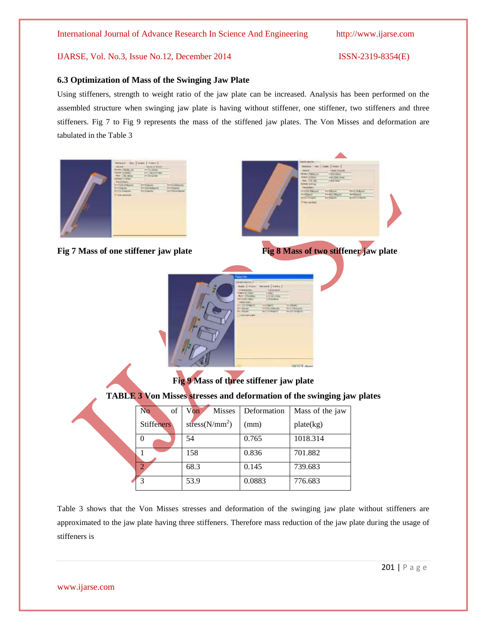## **6.3 Optimization of Mass of the Swinging Jaw Plate**

Using stiffeners, strength to weight ratio of the jaw plate can be increased. Analysis has been performed on the assembled structure when swinging jaw plate is having without stiffener, one stiffener, two stiffeners and three stiffeners. Fig 7 to Fig 9 represents the mass of the stiffened jaw plates. The Von Misses and deformation are tabulated in the Table 3



Table 3 shows that the Von Misses stresses and deformation of the swinging jaw plate without stiffeners are approximated to the jaw plate having three stiffeners. Therefore mass reduction of the jaw plate during the usage of stiffeners is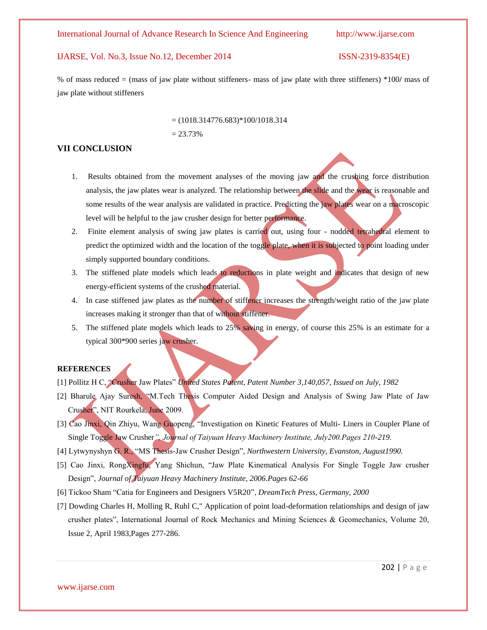% of mass reduced = (mass of jaw plate without stiffeners- mass of jaw plate with three stiffeners) \*100**/** mass of jaw plate without stiffeners

> $= (1018.314776.683)*100/1018.314$  $= 23.73%$

## **VII CONCLUSION**

- 1. Results obtained from the movement analyses of the moving jaw and the crushing force distribution analysis, the jaw plates wear is analyzed. The relationship between the slide and the wear is reasonable and some results of the wear analysis are validated in practice. Predicting the jaw plates wear on a macroscopic level will be helpful to the jaw crusher design for better performance.
- 2. Finite element analysis of swing jaw plates is carried out, using four nodded tetrahedral element to predict the optimized width and the location of the toggle plate, when it is subjected to point loading under simply supported boundary conditions.
- 3. The stiffened plate models which leads to reductions in plate weight and indicates that design of new energy-efficient systems of the crushed material.
- 4. In case stiffened jaw plates as the number of stiffener increases the strength/weight ratio of the jaw plate increases making it stronger than that of without stiffener.
- 5. The stiffened plate models which leads to 25% saving in energy, of course this 25% is an estimate for a typical 300\*900 series jaw crusher.

### **REFERENCES**

- [1] Pollitz H C, "Crusher Jaw Plates" *United States Patent, Patent Number 3,140,057, Issued on July, 1982*
- [2] Bharule Ajay Suresh, "M.Tech Thesis Computer Aided Design and Analysis of Swing Jaw Plate of Jaw Crusher", NIT Rourkela, June 2009.
- [3] Cao Jinxi, Qin Zhiyu, Wang Guopeng, "Investigation on Kinetic Features of Multi- Liners in Coupler Plane of Single Toggle Jaw Crusher*", Journal of Taiyuan Heavy Machinery Institute, July200.Pages 210-219.*
- [4] Lytwynyshyn G. R., "MS Thesis-Jaw Crusher Design"*, Northwestern University, Evanston, August1990.*
- [5] Cao Jinxi, RongXingfu, Yang Shichun, "Jaw Plate Kinematical Analysis For Single Toggle Jaw crusher Design", *Journal of Taiyuan Heavy Machinery Institute, 2006.Pages 62-66*
- [6] Tickoo Sham "Catia for Engineers and Designers V5R20", *DreamTech Press, Germany, 2000*
- [7] Dowding Charles H, Molling R, Ruhl C," Application of point load-deformation relationships and design of jaw crusher plates", International Journal of Rock Mechanics and Mining Sciences & Geomechanics, Volume 20, Issue 2, April 1983,Pages 277-286.